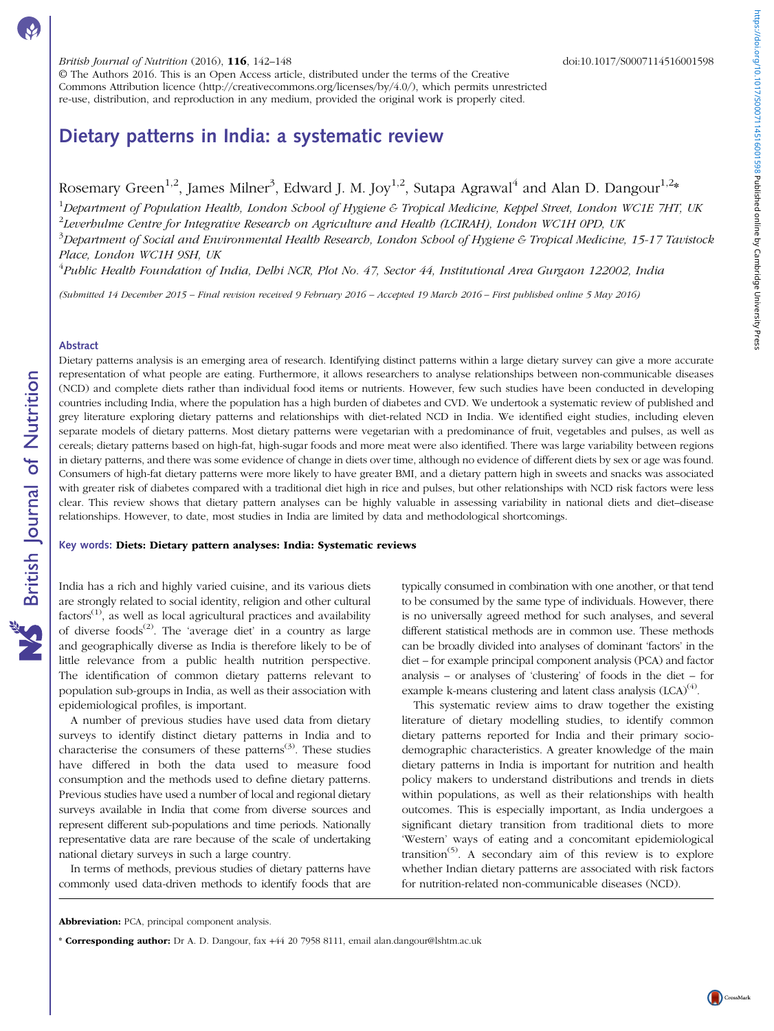#### British Journal of Nutrition (2016), 116, 142-148 doi:10.1017/S0007114516001598

© The Authors 2016. This is an Open Access article, distributed under the terms of the Creative Commons Attribution licence (http://creativecommons.org/licenses/by/4.0/), which permits unrestricted re-use, distribution, and reproduction in any medium, provided the original work is properly cited.

# Dietary patterns in India: a systematic review

Rosemary Green $^{1,2}$ , James Milner $^3$ , Edward J. M. Joy $^{1,2}$ , Sutapa Agrawal $^4$  and Alan D. Dangour $^{1,2}$ 

<sup>1</sup>Department of Population Health, London School of Hygiene & Tropical Medicine, Keppel Street, London WC1E 7HT, UK  $^{2}$ Leverhulme Centre for Integrative Research on Agriculture and Health (LCIRAH), London WC1H 0PD, UK  $^3$ Department of Social and Environmental Health Research, London School of Hygiene & Tropical Medicine, 15-17 Tavistock Place, London WC1H 9SH, UK

<sup>4</sup>Public Health Foundation of India, Delhi NCR, Plot No. 47, Sector 44, Institutional Area Gurgaon 122002, India

(Submitted 14 December 2015 – Final revision received 9 February 2016 – Accepted 19 March 2016 – First published online 5 May 2016)

#### Abstract

**NS** British Journal of Nutrition

Dietary patterns analysis is an emerging area of research. Identifying distinct patterns within a large dietary survey can give a more accurate representation of what people are eating. Furthermore, it allows researchers to analyse relationships between non-communicable diseases (NCD) and complete diets rather than individual food items or nutrients. However, few such studies have been conducted in developing countries including India, where the population has a high burden of diabetes and CVD. We undertook a systematic review of published and grey literature exploring dietary patterns and relationships with diet-related NCD in India. We identified eight studies, including eleven separate models of dietary patterns. Most dietary patterns were vegetarian with a predominance of fruit, vegetables and pulses, as well as cereals; dietary patterns based on high-fat, high-sugar foods and more meat were also identified. There was large variability between regions in dietary patterns, and there was some evidence of change in diets over time, although no evidence of different diets by sex or age was found. Consumers of high-fat dietary patterns were more likely to have greater BMI, and a dietary pattern high in sweets and snacks was associated with greater risk of diabetes compared with a traditional diet high in rice and pulses, but other relationships with NCD risk factors were less clear. This review shows that dietary pattern analyses can be highly valuable in assessing variability in national diets and diet–disease relationships. However, to date, most studies in India are limited by data and methodological shortcomings.

Key words: Diets: Dietary pattern analyses: India: Systematic reviews

India has a rich and highly varied cuisine, and its various diets are strongly related to social identity, religion and other cultural factors<sup>([1\)](#page-5-0)</sup>, as well as local agricultural practices and availability of diverse foods<sup> $(2)$ </sup>. The 'average diet' in a country as large and geographically diverse as India is therefore likely to be of little relevance from a public health nutrition perspective. The identification of common dietary patterns relevant to population sub-groups in India, as well as their association with epidemiological profiles, is important.

A number of previous studies have used data from dietary surveys to identify distinct dietary patterns in India and to characterise the consumers of these patterns<sup>[\(3\)](#page-5-0)</sup>. These studies have differed in both the data used to measure food consumption and the methods used to define dietary patterns. Previous studies have used a number of local and regional dietary surveys available in India that come from diverse sources and represent different sub-populations and time periods. Nationally representative data are rare because of the scale of undertaking national dietary surveys in such a large country.

In terms of methods, previous studies of dietary patterns have commonly used data-driven methods to identify foods that are typically consumed in combination with one another, or that tend to be consumed by the same type of individuals. However, there is no universally agreed method for such analyses, and several different statistical methods are in common use. These methods can be broadly divided into analyses of dominant 'factors' in the diet – for example principal component analysis (PCA) and factor analysis – or analyses of 'clustering' of foods in the diet – for example k-means clustering and latent class analysis  $(LCA)^{(4)}$  $(LCA)^{(4)}$  $(LCA)^{(4)}$ .

This systematic review aims to draw together the existing literature of dietary modelling studies, to identify common dietary patterns reported for India and their primary sociodemographic characteristics. A greater knowledge of the main dietary patterns in India is important for nutrition and health policy makers to understand distributions and trends in diets within populations, as well as their relationships with health outcomes. This is especially important, as India undergoes a significant dietary transition from traditional diets to more 'Western' ways of eating and a concomitant epidemiological transition<sup>([5](#page-5-0))</sup>. A secondary aim of this review is to explore whether Indian dietary patterns are associated with risk factors for nutrition-related non-communicable diseases (NCD).

Abbreviation: PCA, principal component analysis.

<sup>\*</sup> Corresponding author: Dr A. D. Dangour, fax +44 20 7958 8111, email alan.dangour@lshtm.ac.uk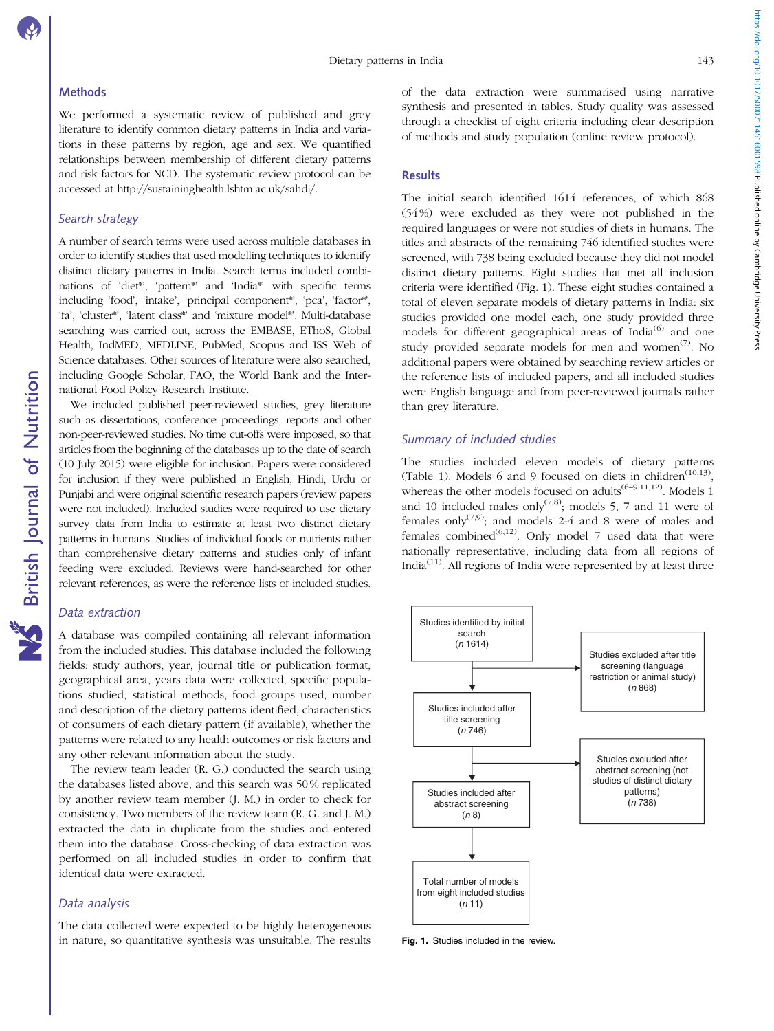#### **Methods**

We performed a systematic review of published and grey literature to identify common dietary patterns in India and variations in these patterns by region, age and sex. We quantified relationships between membership of different dietary patterns and risk factors for NCD. The systematic review protocol can be accessed at<http://sustaininghealth.lshtm.ac.uk/sahdi/>.

#### Search strategy

A number of search terms were used across multiple databases in order to identify studies that used modelling techniques to identify distinct dietary patterns in India. Search terms included combinations of 'diet\*', 'pattern\*' and 'India\*' with specific terms including 'food', 'intake', 'principal component\*', 'pca', 'factor\*', 'fa', 'cluster\*', 'latent class\*' and 'mixture model\*'. Multi-database searching was carried out, across the EMBASE, EThoS, Global Health, IndMED, MEDLINE, PubMed, Scopus and ISS Web of Science databases. Other sources of literature were also searched, including Google Scholar, FAO, the World Bank and the International Food Policy Research Institute.

We included published peer-reviewed studies, grey literature such as dissertations, conference proceedings, reports and other non-peer-reviewed studies. No time cut-offs were imposed, so that articles from the beginning of the databases up to the date of search (10 July 2015) were eligible for inclusion. Papers were considered for inclusion if they were published in English, Hindi, Urdu or Punjabi and were original scientific research papers (review papers were not included). Included studies were required to use dietary survey data from India to estimate at least two distinct dietary patterns in humans. Studies of individual foods or nutrients rather than comprehensive dietary patterns and studies only of infant feeding were excluded. Reviews were hand-searched for other relevant references, as were the reference lists of included studies.

# Data extraction

**NS** British Journal of Nutrition

A database was compiled containing all relevant information from the included studies. This database included the following fields: study authors, year, journal title or publication format, geographical area, years data were collected, specific populations studied, statistical methods, food groups used, number and description of the dietary patterns identified, characteristics of consumers of each dietary pattern (if available), whether the patterns were related to any health outcomes or risk factors and any other relevant information about the study.

The review team leader (R. G.) conducted the search using the databases listed above, and this search was 50 % replicated by another review team member (J. M.) in order to check for consistency. Two members of the review team (R. G. and J. M.) extracted the data in duplicate from the studies and entered them into the database. Cross-checking of data extraction was performed on all included studies in order to confirm that identical data were extracted.

#### Data analysis

The data collected were expected to be highly heterogeneous in nature, so quantitative synthesis was unsuitable. The results of the data extraction were summarised using narrative synthesis and presented in tables. Study quality was assessed through a checklist of eight criteria including clear description of methods and study population (online review protocol).

# **Results**

The initial search identified 1614 references, of which 868 (54 %) were excluded as they were not published in the required languages or were not studies of diets in humans. The titles and abstracts of the remaining 746 identified studies were screened, with 738 being excluded because they did not model distinct dietary patterns. Eight studies that met all inclusion criteria were identified (Fig. 1). These eight studies contained a total of eleven separate models of dietary patterns in India: six studies provided one model each, one study provided three models for different geographical areas of India<sup>([6\)](#page-5-0)</sup> and one study provided separate models for men and women<sup>([7](#page-5-0))</sup>. No additional papers were obtained by searching review articles or the reference lists of included papers, and all included studies were English language and from peer-reviewed journals rather than grey literature.

## Summary of included studies

The studies included eleven models of dietary patterns [\(Table 1\)](#page-2-0). Models 6 and 9 focused on diets in children<sup> $(10,13)$  $(10,13)$  $(10,13)$ </sup>, whereas the other models focused on adults<sup>([6](#page-5-0)–[9,11](#page-5-0),[12\)](#page-6-0)</sup>. Models 1 and 10 included males only<sup>[\(7,8\)](#page-5-0)</sup>; models 5, 7 and 11 were of females only<sup>([7](#page-5-0),[9](#page-5-0))</sup>; and models 2-4 and 8 were of males and females combined<sup>([6](#page-5-0),[12](#page-6-0))</sup>. Only model 7 used data that were nationally representative, including data from all regions of India<sup>([11\)](#page-5-0)</sup>. All regions of India were represented by at least three



Fig. 1. Studies included in the review.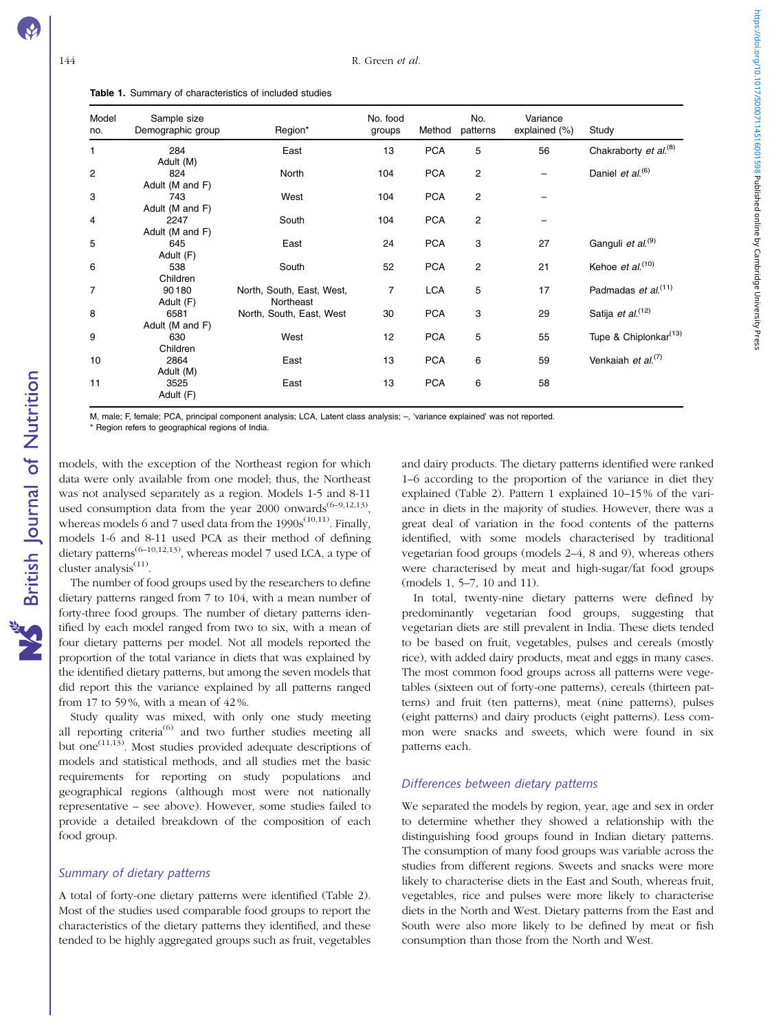|   | ļ              |
|---|----------------|
|   |                |
|   |                |
|   |                |
|   |                |
|   |                |
|   |                |
|   |                |
|   |                |
|   | <br> <br> <br> |
|   |                |
|   |                |
|   |                |
|   |                |
|   |                |
|   |                |
|   |                |
|   |                |
|   |                |
|   |                |
|   |                |
|   |                |
|   |                |
|   |                |
|   |                |
|   |                |
|   |                |
|   |                |
|   |                |
|   |                |
|   |                |
|   |                |
|   |                |
|   |                |
|   |                |
|   |                |
|   |                |
|   |                |
|   |                |
|   |                |
|   |                |
|   |                |
|   |                |
|   |                |
|   |                |
| l |                |
|   |                |
|   |                |
|   |                |
|   |                |
|   |                |
|   |                |
|   |                |
|   |                |
|   |                |
|   |                |
|   |                |
|   |                |
|   | / Press<br>i   |

<span id="page-2-0"></span>

|  | <b>Table 1.</b> Summary of characteristics of included studies |  |  |
|--|----------------------------------------------------------------|--|--|
|  |                                                                |  |  |

| Model<br>no. | Sample size<br>Demographic group | Region*                   | No. food<br>groups | Method     | No.<br>patterns | Variance<br>explained $(\%)$ | Study                             |
|--------------|----------------------------------|---------------------------|--------------------|------------|-----------------|------------------------------|-----------------------------------|
| 1            | 284                              | East                      | 13                 | <b>PCA</b> | 5               | 56                           | Chakraborty et al. <sup>(8)</sup> |
|              | Adult (M)                        |                           |                    |            |                 |                              |                                   |
| 2            | 824                              | North                     | 104                | <b>PCA</b> | 2               |                              | Daniel et al. <sup>(6)</sup>      |
|              | Adult (M and F)                  |                           |                    |            |                 |                              |                                   |
| 3            | 743                              | West                      | 104                | <b>PCA</b> | $\overline{c}$  |                              |                                   |
|              | Adult (M and F)                  |                           |                    |            |                 |                              |                                   |
| 4            | 2247                             | South                     | 104                | <b>PCA</b> | $\overline{2}$  |                              |                                   |
|              | Adult (M and F)                  |                           |                    |            |                 |                              |                                   |
| 5            | 645                              | East                      | 24                 | <b>PCA</b> | 3               | 27                           | Ganguli et al. <sup>(9)</sup>     |
|              | Adult (F)                        |                           |                    |            |                 |                              |                                   |
| 6            | 538                              | South                     | 52                 | <b>PCA</b> | 2               | 21                           | Kehoe et al. <sup>(10)</sup>      |
|              | Children                         |                           |                    |            |                 |                              |                                   |
| 7            | 90180                            | North, South, East, West, | 7                  | <b>LCA</b> | 5               | 17                           | Padmadas et al. <sup>(11)</sup>   |
|              | Adult (F)                        | Northeast                 |                    |            |                 |                              |                                   |
| 8            | 6581                             | North, South, East, West  | 30                 | <b>PCA</b> | 3               | 29                           | Satija et al. <sup>(12)</sup>     |
|              | Adult (M and F)                  |                           |                    |            |                 |                              |                                   |
| 9            | 630                              | West                      | 12                 | <b>PCA</b> | 5               | 55                           | Tupe & Chiplonkar <sup>(13)</sup> |
|              | Children                         |                           |                    |            |                 |                              |                                   |
| 10           | 2864                             | East                      | 13                 | <b>PCA</b> | 6               | 59                           | Venkaiah et al. <sup>(7)</sup>    |
|              | Adult (M)                        |                           |                    |            |                 |                              |                                   |
| 11           | 3525                             | East                      | 13                 | <b>PCA</b> | 6               | 58                           |                                   |
|              | Adult (F)                        |                           |                    |            |                 |                              |                                   |

M, male; F, female; PCA, principal component analysis; LCA, Latent class analysis; –, 'variance explained' was not reported. \* Region refers to geographical regions of India.

models, with the exception of the Northeast region for which data were only available from one model; thus, the Northeast was not analysed separately as a region. Models 1-5 and 8-11 used consumption data from the year 2000 onwards<sup>([6](#page-5-0)-[9,](#page-5-0)[12,13\)](#page-6-0)</sup>, whereas models 6 and 7 used data from the  $1990s^{(10,11)}$  $1990s^{(10,11)}$  $1990s^{(10,11)}$ . Finally, models 1-6 and 8-11 used PCA as their method of defining dietary patterns<sup>[\(6](#page-5-0)–[10](#page-5-0)[,12](#page-6-0),[13\)](#page-6-0)</sup>, whereas model 7 used LCA, a type of cluster analysis<sup>[\(11\)](#page-5-0)</sup>.

The number of food groups used by the researchers to define dietary patterns ranged from 7 to 104, with a mean number of forty-three food groups. The number of dietary patterns identified by each model ranged from two to six, with a mean of four dietary patterns per model. Not all models reported the proportion of the total variance in diets that was explained by the identified dietary patterns, but among the seven models that did report this the variance explained by all patterns ranged from 17 to 59 %, with a mean of 42 %.

Study quality was mixed, with only one study meeting all reporting criteria<sup>([6](#page-5-0))</sup> and two further studies meeting all but one<sup> $(11,13)$  $(11,13)$  $(11,13)$  $(11,13)$ </sup>. Most studies provided adequate descriptions of models and statistical methods, and all studies met the basic requirements for reporting on study populations and geographical regions (although most were not nationally representative – see above). However, some studies failed to provide a detailed breakdown of the composition of each food group.

## Summary of dietary patterns

A total of forty-one dietary patterns were identified ([Table 2](#page-3-0)). Most of the studies used comparable food groups to report the characteristics of the dietary patterns they identified, and these tended to be highly aggregated groups such as fruit, vegetables and dairy products. The dietary patterns identified were ranked 1–6 according to the proportion of the variance in diet they explained ([Table 2\)](#page-3-0). Pattern 1 explained 10–15 % of the variance in diets in the majority of studies. However, there was a great deal of variation in the food contents of the patterns identified, with some models characterised by traditional vegetarian food groups (models 2–4, 8 and 9), whereas others were characterised by meat and high-sugar/fat food groups (models 1, 5–7, 10 and 11).

In total, twenty-nine dietary patterns were defined by predominantly vegetarian food groups, suggesting that vegetarian diets are still prevalent in India. These diets tended to be based on fruit, vegetables, pulses and cereals (mostly rice), with added dairy products, meat and eggs in many cases. The most common food groups across all patterns were vegetables (sixteen out of forty-one patterns), cereals (thirteen patterns) and fruit (ten patterns), meat (nine patterns), pulses (eight patterns) and dairy products (eight patterns). Less common were snacks and sweets, which were found in six patterns each.

## Differences between dietary patterns

We separated the models by region, year, age and sex in order to determine whether they showed a relationship with the distinguishing food groups found in Indian dietary patterns. The consumption of many food groups was variable across the studies from different regions. Sweets and snacks were more likely to characterise diets in the East and South, whereas fruit, vegetables, rice and pulses were more likely to characterise diets in the North and West. Dietary patterns from the East and South were also more likely to be defined by meat or fish consumption than those from the North and West.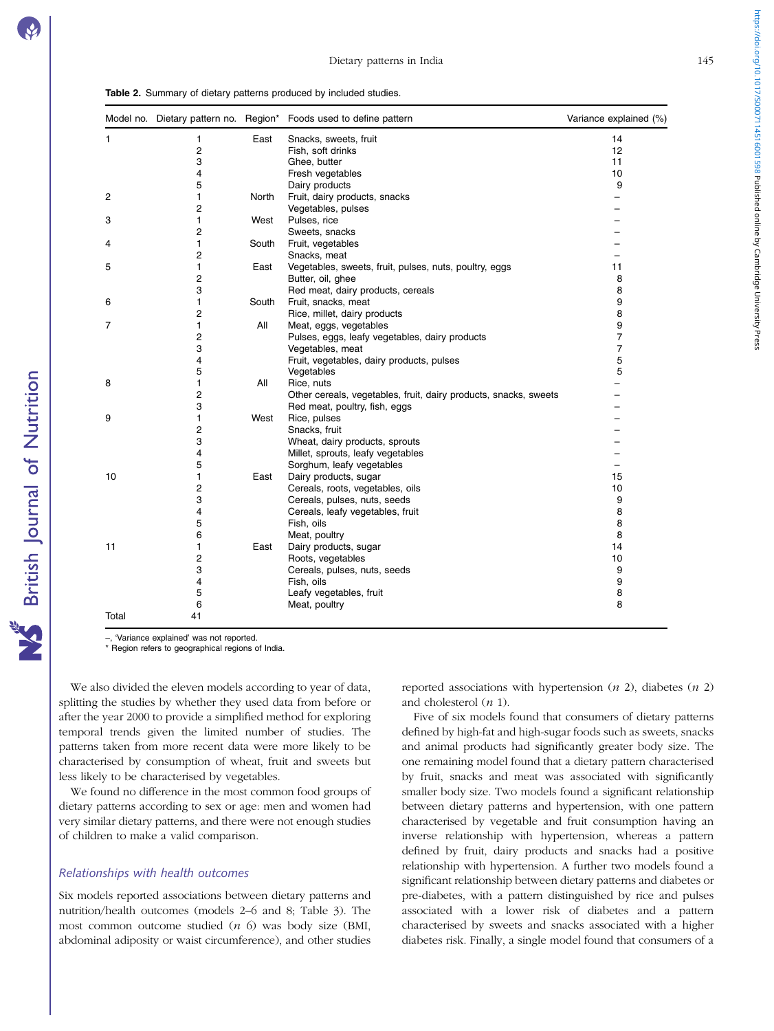|              |                |       | Model no. Dietary pattern no. Region* Foods used to define pattern | Variance explained (%) |
|--------------|----------------|-------|--------------------------------------------------------------------|------------------------|
| $\mathbf{1}$ | 1              | East  | Snacks, sweets, fruit                                              | 14                     |
|              | 2              |       | Fish, soft drinks                                                  | 12                     |
|              | 3              |       | Ghee, butter                                                       | 11                     |
|              | 4              |       | Fresh vegetables                                                   | 10                     |
|              | 5              |       | Dairy products                                                     | 9                      |
| 2            | 1              | North | Fruit, dairy products, snacks                                      |                        |
|              | 2              |       | Vegetables, pulses                                                 |                        |
| 3            | 1              | West  | Pulses, rice                                                       |                        |
|              | 2              |       | Sweets, snacks                                                     |                        |
| 4            | $\mathbf{1}$   | South | Fruit, vegetables                                                  |                        |
|              | $\overline{2}$ |       | Snacks, meat                                                       |                        |
| 5            | 1              | East  | Vegetables, sweets, fruit, pulses, nuts, poultry, eggs             | 11                     |
|              | $\overline{2}$ |       | Butter, oil, ghee                                                  | 8                      |
|              | 3              |       | Red meat, dairy products, cereals                                  | 8                      |
| 6            | 1              | South | Fruit, snacks, meat                                                | 9                      |
|              | 2              |       | Rice, millet, dairy products                                       | 8                      |
| 7            | 1              | All   | Meat, eggs, vegetables                                             | 9                      |
| 2            |                |       | Pulses, eggs, leafy vegetables, dairy products                     | 7                      |
|              | 3              |       | Vegetables, meat                                                   | $\overline{7}$         |
|              | 4              |       | Fruit, vegetables, dairy products, pulses                          | 5                      |
|              | 5              |       | Vegetables                                                         | 5                      |
| 8            | 1              | All   | Rice, nuts                                                         |                        |
|              | 2              |       | Other cereals, vegetables, fruit, dairy products, snacks, sweets   |                        |
|              | 3              |       | Red meat, poultry, fish, eggs                                      |                        |
| 9            | 1              | West  | Rice, pulses                                                       |                        |
|              | 2              |       | Snacks, fruit                                                      |                        |
|              | 3              |       | Wheat, dairy products, sprouts                                     |                        |
|              | 4              |       | Millet, sprouts, leafy vegetables                                  |                        |
|              | 5              |       | Sorghum, leafy vegetables                                          |                        |
| 10           | $\mathbf{1}$   | East  | Dairy products, sugar                                              | 15                     |
|              | 2              |       | Cereals, roots, vegetables, oils                                   | 10                     |
|              | 3              |       | Cereals, pulses, nuts, seeds                                       | 9                      |
|              | 4              |       | Cereals, leafy vegetables, fruit                                   | 8                      |
|              | 5              |       | Fish, oils                                                         | 8                      |
|              | 6              |       | Meat, poultry                                                      | 8                      |
| 11           | 1              | East  | Dairy products, sugar                                              | 14                     |
|              | 2              |       | Roots, vegetables                                                  | 10                     |
|              | 3              |       | Cereals, pulses, nuts, seeds                                       | 9                      |
|              | 4              |       | Fish, oils                                                         | 9                      |
|              | 5              |       | Leafy vegetables, fruit                                            | 8                      |
|              | 6              |       | Meat, poultry                                                      | 8                      |
| Total        | 41             |       |                                                                    |                        |

<span id="page-3-0"></span>Table 2. Summary of dietary patterns produced by included studies.

'Variance explained' was not reported.

\* Region refers to geographical regions of India.

We also divided the eleven models according to year of data, splitting the studies by whether they used data from before or after the year 2000 to provide a simplified method for exploring temporal trends given the limited number of studies. The patterns taken from more recent data were more likely to be characterised by consumption of wheat, fruit and sweets but less likely to be characterised by vegetables.

We found no difference in the most common food groups of dietary patterns according to sex or age: men and women had very similar dietary patterns, and there were not enough studies of children to make a valid comparison.

#### Relationships with health outcomes

Six models reported associations between dietary patterns and nutrition/health outcomes (models 2–6 and 8; [Table 3](#page-4-0)). The most common outcome studied (n 6) was body size (BMI, abdominal adiposity or waist circumference), and other studies reported associations with hypertension  $(n 2)$ , diabetes  $(n 2)$ and cholesterol  $(n 1)$ .

Five of six models found that consumers of dietary patterns defined by high-fat and high-sugar foods such as sweets, snacks and animal products had significantly greater body size. The one remaining model found that a dietary pattern characterised by fruit, snacks and meat was associated with significantly smaller body size. Two models found a significant relationship between dietary patterns and hypertension, with one pattern characterised by vegetable and fruit consumption having an inverse relationship with hypertension, whereas a pattern defined by fruit, dairy products and snacks had a positive relationship with hypertension. A further two models found a significant relationship between dietary patterns and diabetes or pre-diabetes, with a pattern distinguished by rice and pulses associated with a lower risk of diabetes and a pattern characterised by sweets and snacks associated with a higher diabetes risk. Finally, a single model found that consumers of a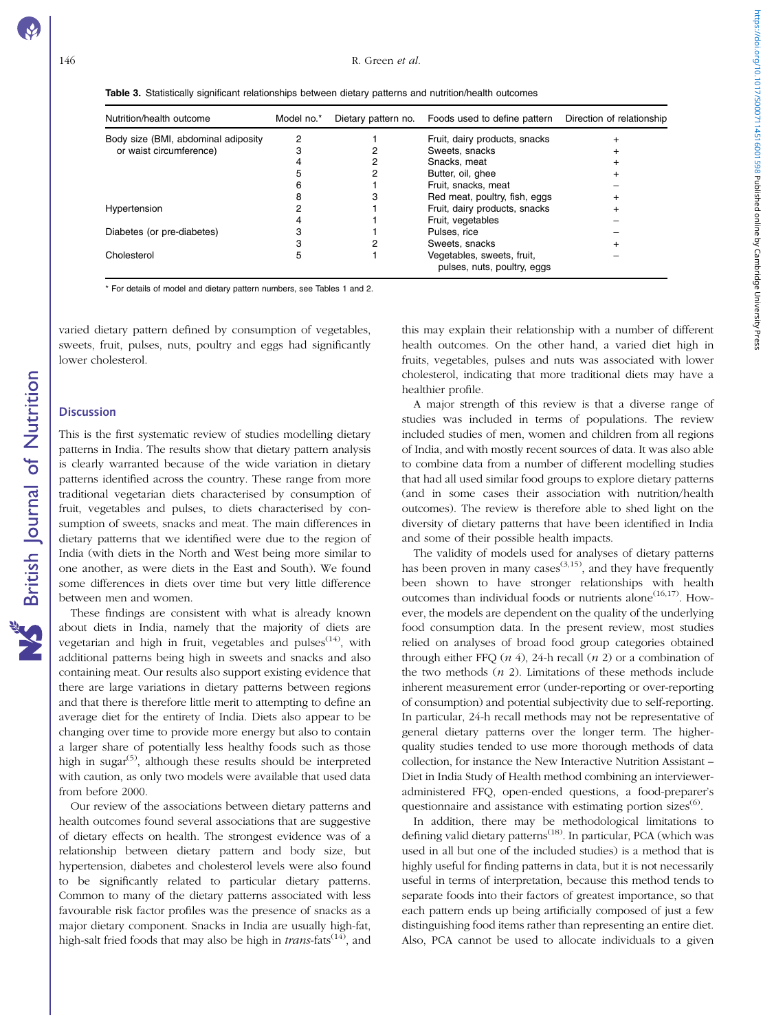<span id="page-4-0"></span>Table 3. Statistically significant relationships between dietary patterns and nutrition/health outcomes

| Nutrition/health outcome            | Model no.* | Dietary pattern no. Foods used to define pattern          | Direction of relationship |
|-------------------------------------|------------|-----------------------------------------------------------|---------------------------|
| Body size (BMI, abdominal adiposity | 2          | Fruit, dairy products, snacks                             |                           |
| or waist circumference)             |            | Sweets, snacks                                            |                           |
|                                     |            | Snacks, meat                                              |                           |
|                                     |            | Butter, oil, ghee                                         |                           |
|                                     |            | Fruit, snacks, meat                                       |                           |
|                                     |            | Red meat, poultry, fish, eggs                             |                           |
| Hypertension                        |            | Fruit, dairy products, snacks                             |                           |
|                                     |            | Fruit, vegetables                                         |                           |
| Diabetes (or pre-diabetes)          |            | Pulses, rice                                              |                           |
|                                     |            | Sweets, snacks                                            |                           |
| Cholesterol                         | 5          | Vegetables, sweets, fruit,<br>pulses, nuts, poultry, eggs |                           |

\* For details of model and dietary pattern numbers, see [Tables 1](#page-2-0) and [2.](#page-3-0)

varied dietary pattern defined by consumption of vegetables, sweets, fruit, pulses, nuts, poultry and eggs had significantly lower cholesterol.

#### **Discussion**

**NS** British Journal of Nutrition

This is the first systematic review of studies modelling dietary patterns in India. The results show that dietary pattern analysis is clearly warranted because of the wide variation in dietary patterns identified across the country. These range from more traditional vegetarian diets characterised by consumption of fruit, vegetables and pulses, to diets characterised by consumption of sweets, snacks and meat. The main differences in dietary patterns that we identified were due to the region of India (with diets in the North and West being more similar to one another, as were diets in the East and South). We found some differences in diets over time but very little difference between men and women.

These findings are consistent with what is already known about diets in India, namely that the majority of diets are vegetarian and high in fruit, vegetables and pulses<sup> $(14)$  $(14)$ </sup>, with additional patterns being high in sweets and snacks and also containing meat. Our results also support existing evidence that there are large variations in dietary patterns between regions and that there is therefore little merit to attempting to define an average diet for the entirety of India. Diets also appear to be changing over time to provide more energy but also to contain a larger share of potentially less healthy foods such as those high in sugar<sup>([5](#page-5-0))</sup>, although these results should be interpreted with caution, as only two models were available that used data from before 2000.

Our review of the associations between dietary patterns and health outcomes found several associations that are suggestive of dietary effects on health. The strongest evidence was of a relationship between dietary pattern and body size, but hypertension, diabetes and cholesterol levels were also found to be significantly related to particular dietary patterns. Common to many of the dietary patterns associated with less favourable risk factor profiles was the presence of snacks as a major dietary component. Snacks in India are usually high-fat, high-salt fried foods that may also be high in  $trans\text{-}fasts^{(14)}$  $trans\text{-}fasts^{(14)}$  $trans\text{-}fasts^{(14)}$ , and this may explain their relationship with a number of different health outcomes. On the other hand, a varied diet high in fruits, vegetables, pulses and nuts was associated with lower cholesterol, indicating that more traditional diets may have a healthier profile.

A major strength of this review is that a diverse range of studies was included in terms of populations. The review included studies of men, women and children from all regions of India, and with mostly recent sources of data. It was also able to combine data from a number of different modelling studies that had all used similar food groups to explore dietary patterns (and in some cases their association with nutrition/health outcomes). The review is therefore able to shed light on the diversity of dietary patterns that have been identified in India and some of their possible health impacts.

The validity of models used for analyses of dietary patterns has been proven in many cases<sup> $(3,15)$  $(3,15)$  $(3,15)$  $(3,15)$  $(3,15)$ </sup>, and they have frequently been shown to have stronger relationships with health outcomes than individual foods or nutrients alone<sup> $(16,17)$  $(16,17)$ </sup>. However, the models are dependent on the quality of the underlying food consumption data. In the present review, most studies relied on analyses of broad food group categories obtained through either FFQ  $(n 4)$ , 24-h recall  $(n 2)$  or a combination of the two methods  $(n 2)$ . Limitations of these methods include inherent measurement error (under-reporting or over-reporting of consumption) and potential subjectivity due to self-reporting. In particular, 24-h recall methods may not be representative of general dietary patterns over the longer term. The higherquality studies tended to use more thorough methods of data collection, for instance the New Interactive Nutrition Assistant – Diet in India Study of Health method combining an intervieweradministered FFQ, open-ended questions, a food-preparer's questionnaire and assistance with estimating portion sizes $<sup>(6)</sup>$  $<sup>(6)</sup>$  $<sup>(6)</sup>$ .</sup>

In addition, there may be methodological limitations to defining valid dietary patterns<sup>([18\)](#page-6-0)</sup>. In particular, PCA (which was used in all but one of the included studies) is a method that is highly useful for finding patterns in data, but it is not necessarily useful in terms of interpretation, because this method tends to separate foods into their factors of greatest importance, so that each pattern ends up being artificially composed of just a few distinguishing food items rather than representing an entire diet. Also, PCA cannot be used to allocate individuals to a given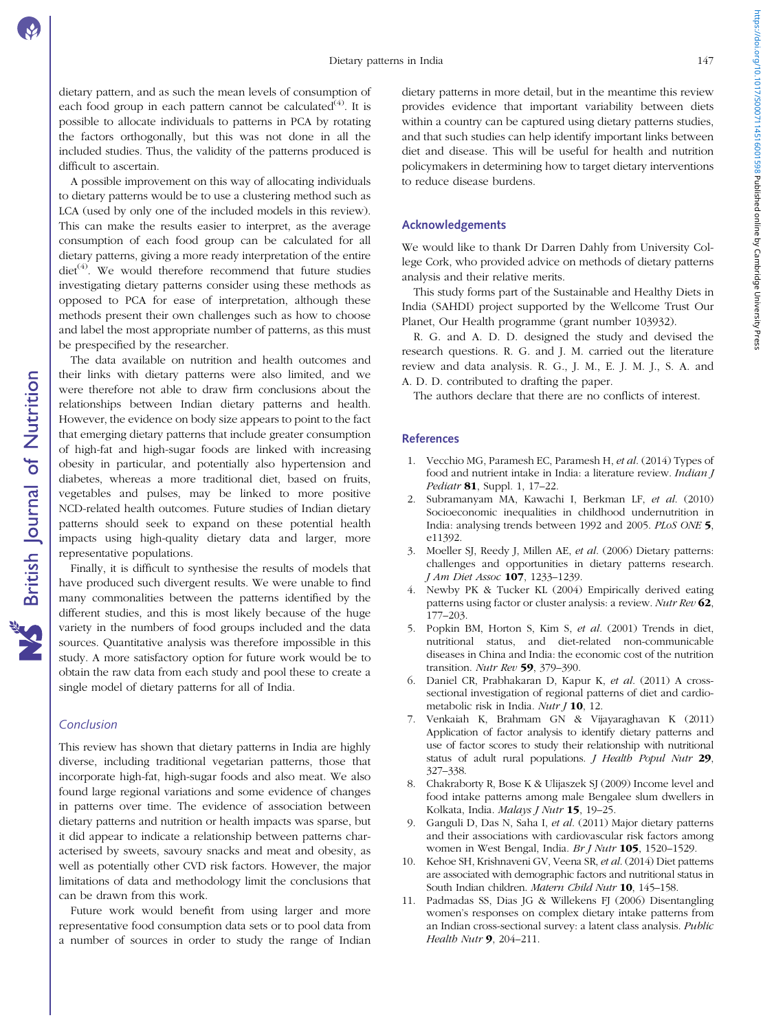<span id="page-5-0"></span>dietary pattern, and as such the mean levels of consumption of each food group in each pattern cannot be calculated<sup>(4)</sup>. It is possible to allocate individuals to patterns in PCA by rotating the factors orthogonally, but this was not done in all the included studies. Thus, the validity of the patterns produced is difficult to ascertain.

A possible improvement on this way of allocating individuals to dietary patterns would be to use a clustering method such as LCA (used by only one of the included models in this review). This can make the results easier to interpret, as the average consumption of each food group can be calculated for all dietary patterns, giving a more ready interpretation of the entire diet<sup>(4)</sup>. We would therefore recommend that future studies investigating dietary patterns consider using these methods as opposed to PCA for ease of interpretation, although these methods present their own challenges such as how to choose and label the most appropriate number of patterns, as this must be prespecified by the researcher.

The data available on nutrition and health outcomes and their links with dietary patterns were also limited, and we were therefore not able to draw firm conclusions about the relationships between Indian dietary patterns and health. However, the evidence on body size appears to point to the fact that emerging dietary patterns that include greater consumption of high-fat and high-sugar foods are linked with increasing obesity in particular, and potentially also hypertension and diabetes, whereas a more traditional diet, based on fruits, vegetables and pulses, may be linked to more positive NCD-related health outcomes. Future studies of Indian dietary patterns should seek to expand on these potential health impacts using high-quality dietary data and larger, more representative populations.

Finally, it is difficult to synthesise the results of models that have produced such divergent results. We were unable to find many commonalities between the patterns identified by the different studies, and this is most likely because of the huge variety in the numbers of food groups included and the data sources. Quantitative analysis was therefore impossible in this study. A more satisfactory option for future work would be to obtain the raw data from each study and pool these to create a single model of dietary patterns for all of India.

### Conclusion

This review has shown that dietary patterns in India are highly diverse, including traditional vegetarian patterns, those that incorporate high-fat, high-sugar foods and also meat. We also found large regional variations and some evidence of changes in patterns over time. The evidence of association between dietary patterns and nutrition or health impacts was sparse, but it did appear to indicate a relationship between patterns characterised by sweets, savoury snacks and meat and obesity, as well as potentially other CVD risk factors. However, the major limitations of data and methodology limit the conclusions that can be drawn from this work.

Future work would benefit from using larger and more representative food consumption data sets or to pool data from a number of sources in order to study the range of Indian

dietary patterns in more detail, but in the meantime this review provides evidence that important variability between diets within a country can be captured using dietary patterns studies, and that such studies can help identify important links between diet and disease. This will be useful for health and nutrition policymakers in determining how to target dietary interventions to reduce disease burdens.

## Acknowledgements

We would like to thank Dr Darren Dahly from University College Cork, who provided advice on methods of dietary patterns analysis and their relative merits.

This study forms part of the Sustainable and Healthy Diets in India (SAHDI) project supported by the Wellcome Trust Our Planet, Our Health programme (grant number 103932).

R. G. and A. D. D. designed the study and devised the research questions. R. G. and J. M. carried out the literature review and data analysis. R. G., J. M., E. J. M. J., S. A. and A. D. D. contributed to drafting the paper.

The authors declare that there are no conflicts of interest.

#### References

- 1. Vecchio MG, Paramesh EC, Paramesh H, et al. (2014) Types of food and nutrient intake in India: a literature review. Indian J Pediatr 81, Suppl. 1, 17-22.
- 2. Subramanyam MA, Kawachi I, Berkman LF, et al. (2010) Socioeconomic inequalities in childhood undernutrition in India: analysing trends between 1992 and 2005. PLoS ONE 5, e11392.
- 3. Moeller SJ, Reedy J, Millen AE, et al. (2006) Dietary patterns: challenges and opportunities in dietary patterns research. J Am Diet Assoc 107, 1233-1239.
- 4. Newby PK & Tucker KL (2004) Empirically derived eating patterns using factor or cluster analysis: a review. Nutr Rev 62, 177–203.
- 5. Popkin BM, Horton S, Kim S, et al. (2001) Trends in diet, nutritional status, and diet-related non-communicable diseases in China and India: the economic cost of the nutrition transition. Nutr Rev 59, 379–390.
- 6. Daniel CR, Prabhakaran D, Kapur K, et al. (2011) A crosssectional investigation of regional patterns of diet and cardiometabolic risk in India. Nutr J 10, 12.
- 7. Venkaiah K, Brahmam GN & Vijayaraghavan K (2011) Application of factor analysis to identify dietary patterns and use of factor scores to study their relationship with nutritional status of adult rural populations. J Health Popul Nutr 29, 327–338.
- 8. Chakraborty R, Bose K & Ulijaszek SJ (2009) Income level and food intake patterns among male Bengalee slum dwellers in Kolkata, India. Malays J Nutr 15, 19–25.
- 9. Ganguli D, Das N, Saha I, et al. (2011) Major dietary patterns and their associations with cardiovascular risk factors among women in West Bengal, India. Br J Nutr 105, 1520–1529.
- 10. Kehoe SH, Krishnaveni GV, Veena SR, et al. (2014) Diet patterns are associated with demographic factors and nutritional status in South Indian children. Matern Child Nutr 10, 145–158.
- 11. Padmadas SS, Dias JG & Willekens FJ (2006) Disentangling women's responses on complex dietary intake patterns from an Indian cross-sectional survey: a latent class analysis. Public Health Nutr **9**, 204-211.

https://doi.org/10.1017/S0007114516001598 Published online by Cambridge University Press